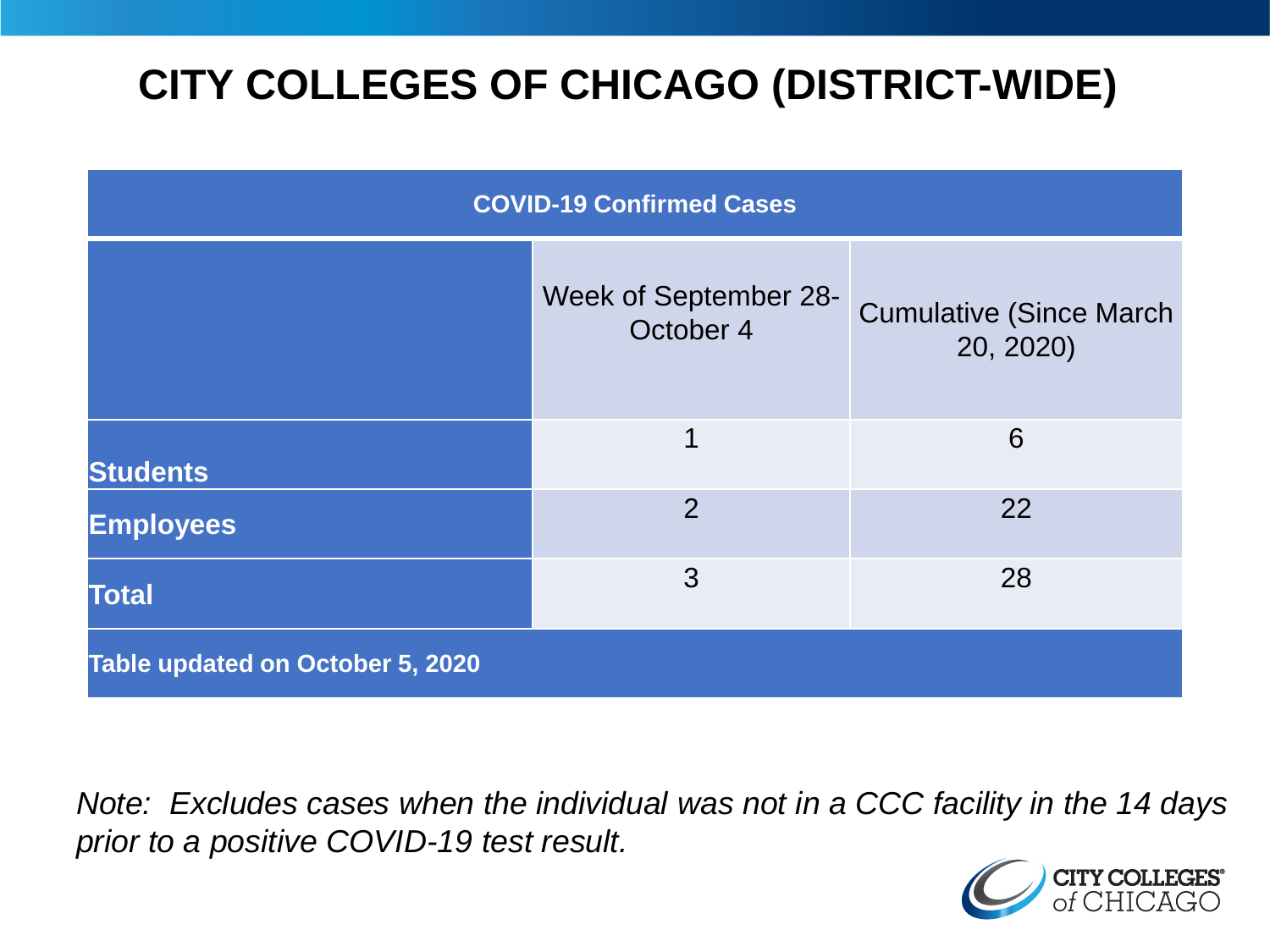# **CITY COLLEGES OF CHICAGO (DISTRICT-WIDE)**

| <b>COVID-19 Confirmed Cases</b>  |                                    |                                              |
|----------------------------------|------------------------------------|----------------------------------------------|
|                                  | Week of September 28-<br>October 4 | <b>Cumulative (Since March)</b><br>20, 2020) |
| <b>Students</b>                  | 1                                  | 6                                            |
| <b>Employees</b>                 | 2                                  | 22                                           |
| <b>Total</b>                     | 3                                  | 28                                           |
| Table updated on October 5, 2020 |                                    |                                              |

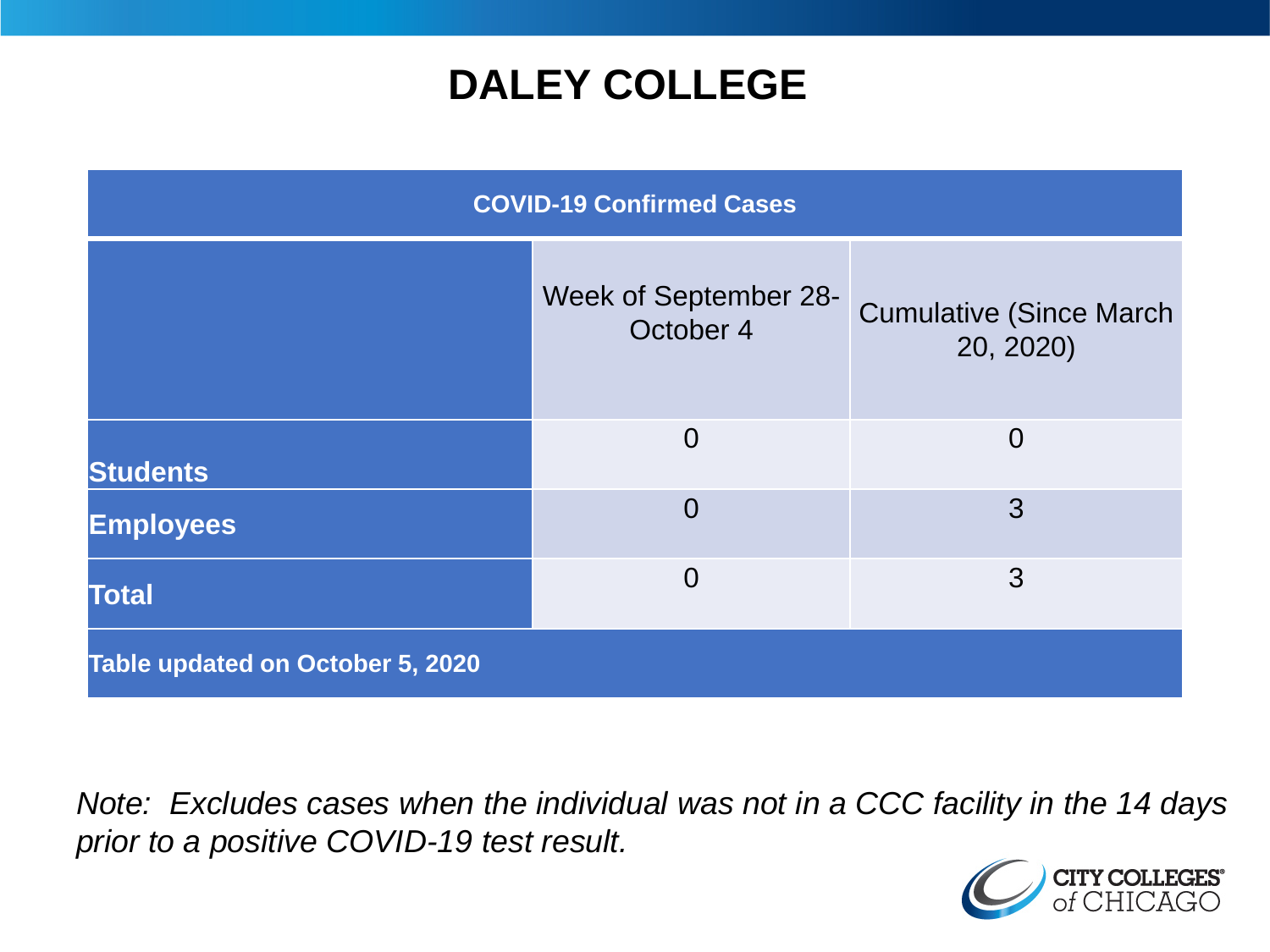### **DALEY COLLEGE**

| <b>COVID-19 Confirmed Cases</b>  |                                    |                                              |
|----------------------------------|------------------------------------|----------------------------------------------|
|                                  | Week of September 28-<br>October 4 | <b>Cumulative (Since March)</b><br>20, 2020) |
| <b>Students</b>                  | $\Omega$                           | $\overline{0}$                               |
| <b>Employees</b>                 | $\overline{0}$                     | 3                                            |
| <b>Total</b>                     | $\overline{0}$                     | 3                                            |
| Table updated on October 5, 2020 |                                    |                                              |

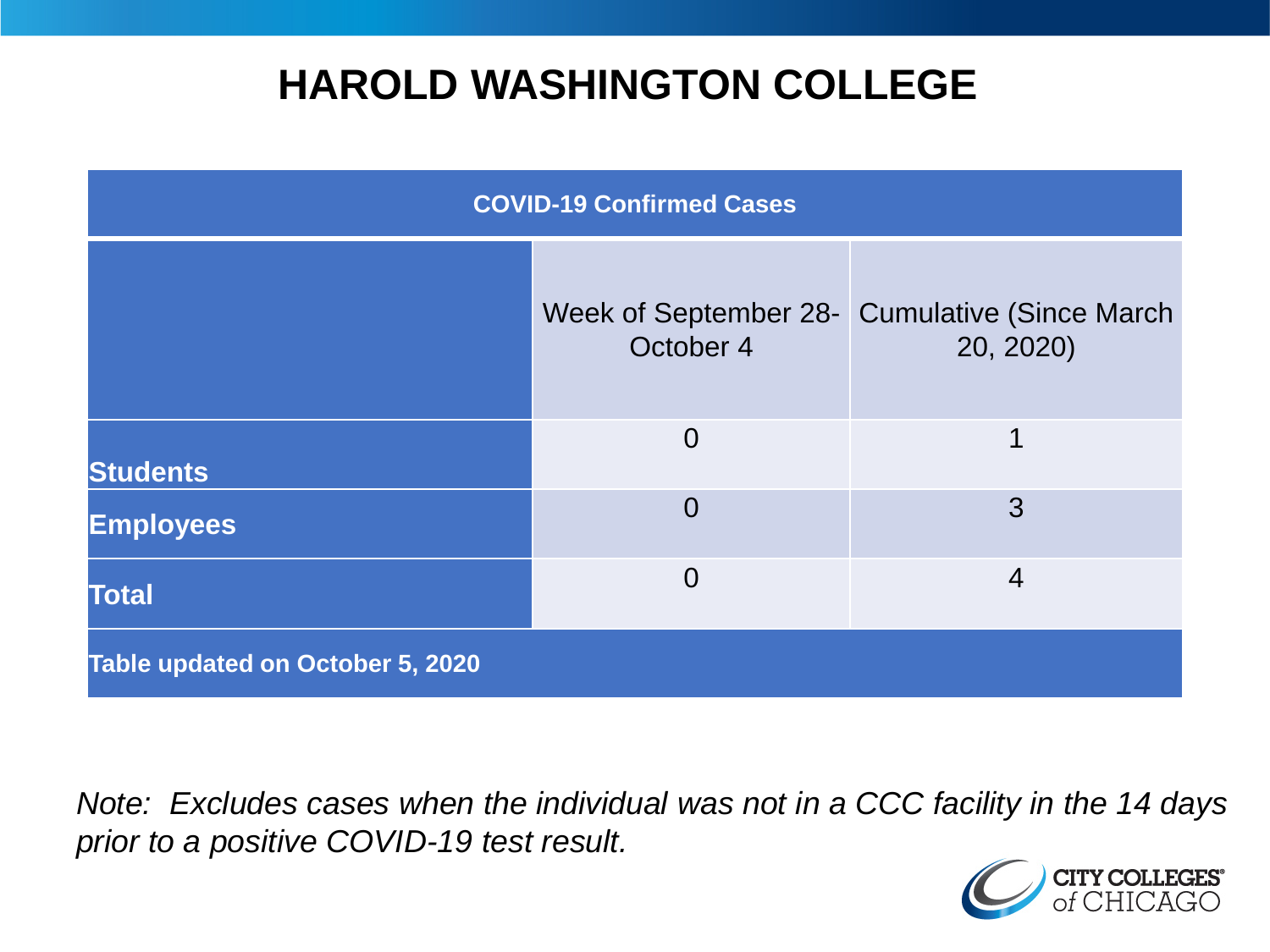### **HAROLD WASHINGTON COLLEGE**

| <b>COVID-19 Confirmed Cases</b>  |                |                                                            |
|----------------------------------|----------------|------------------------------------------------------------|
|                                  | October 4      | Week of September 28- Cumulative (Since March<br>20, 2020) |
| <b>Students</b>                  | $\Omega$       | 1                                                          |
| <b>Employees</b>                 | $\overline{0}$ | 3                                                          |
| <b>Total</b>                     | $\overline{0}$ | $\overline{4}$                                             |
| Table updated on October 5, 2020 |                |                                                            |

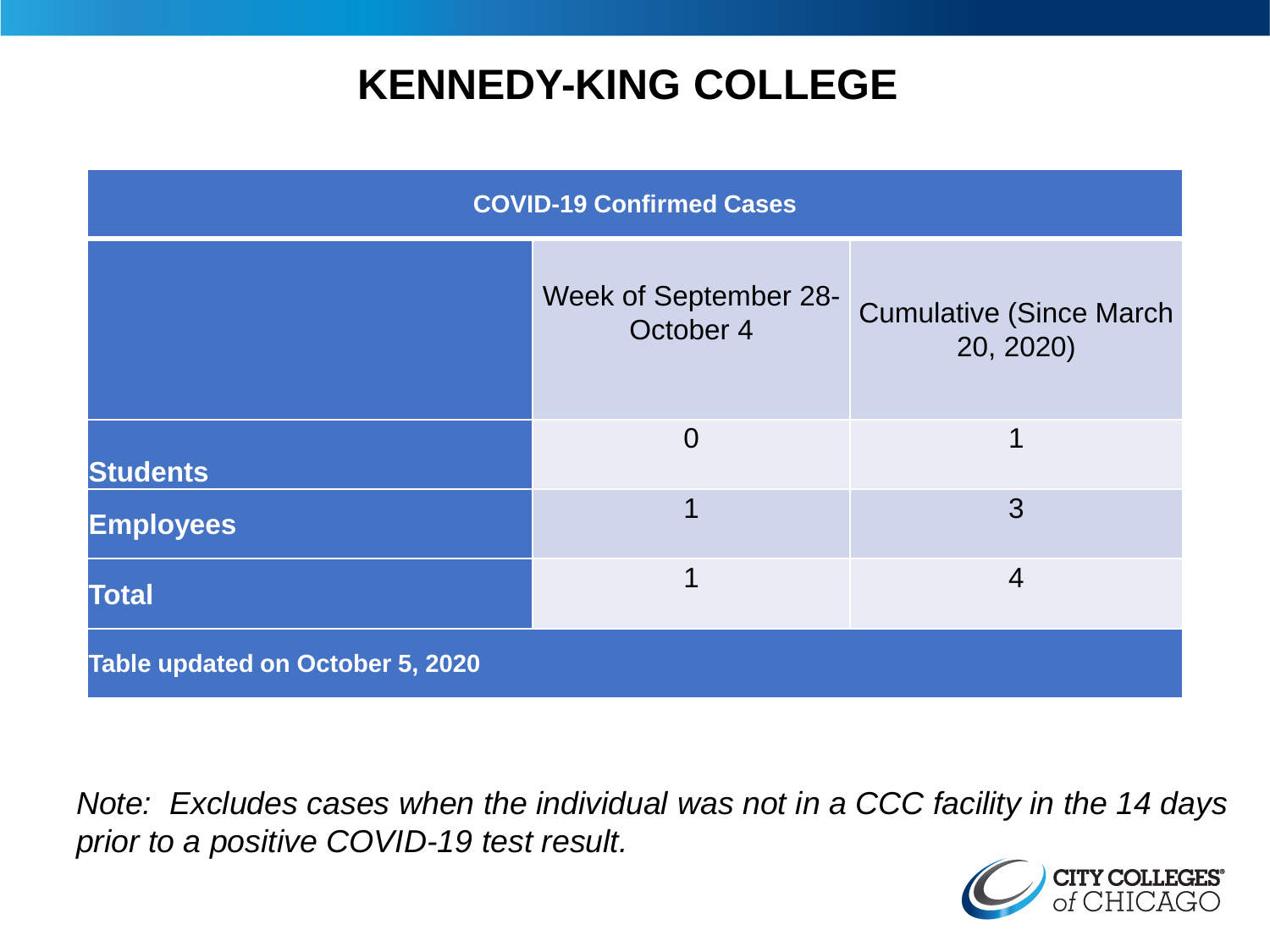### **KENNEDY-KING COLLEGE**

| <b>COVID-19 Confirmed Cases</b>  |                                    |                                              |
|----------------------------------|------------------------------------|----------------------------------------------|
|                                  | Week of September 28-<br>October 4 | <b>Cumulative (Since March)</b><br>20, 2020) |
| <b>Students</b>                  | $\overline{0}$                     | 1                                            |
| <b>Employees</b>                 |                                    | 3                                            |
| <b>Total</b>                     | 1                                  | $\overline{4}$                               |
| Table updated on October 5, 2020 |                                    |                                              |

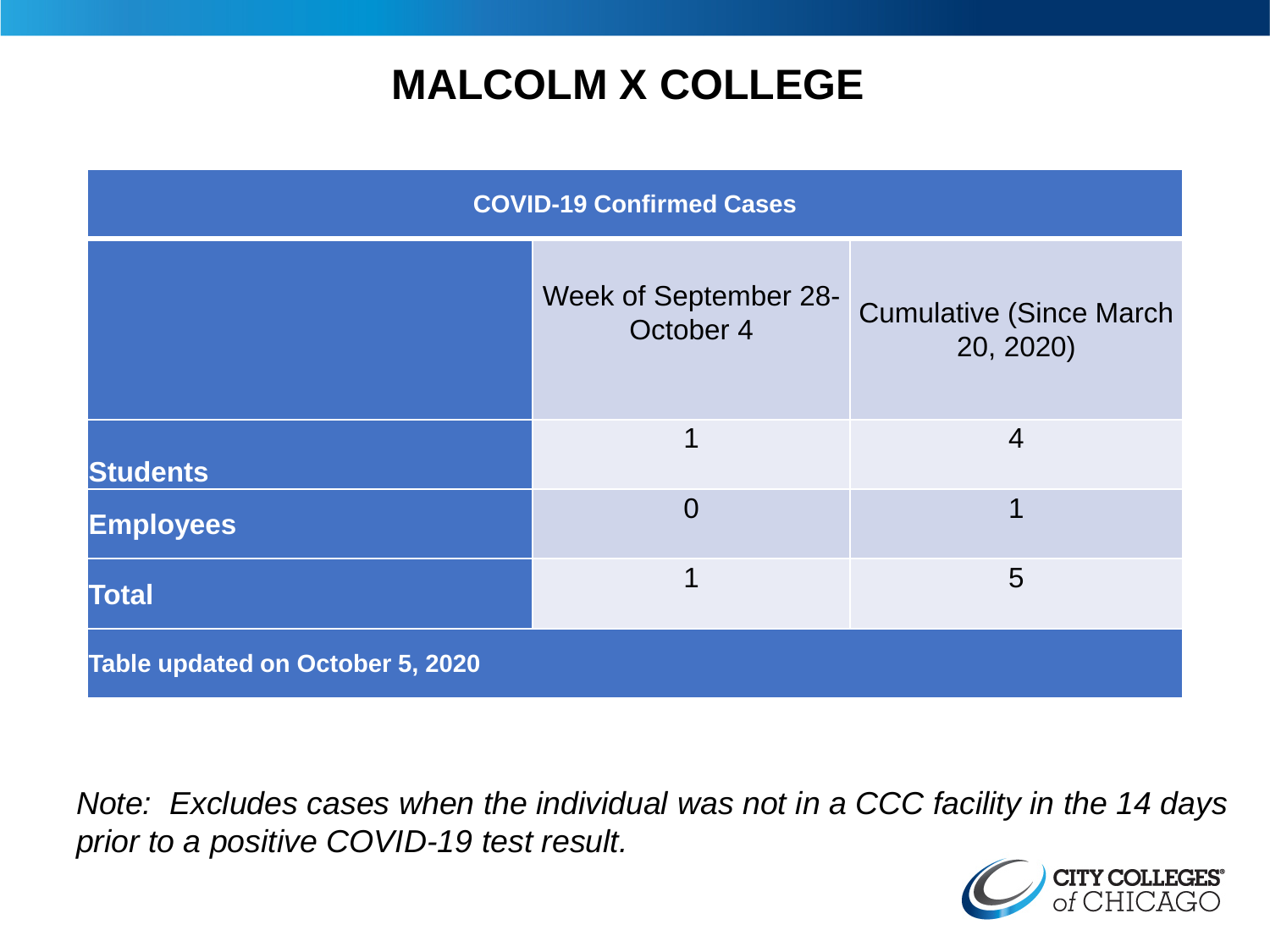## **MALCOLM X COLLEGE**

| <b>COVID-19 Confirmed Cases</b>  |                                    |                                              |
|----------------------------------|------------------------------------|----------------------------------------------|
|                                  | Week of September 28-<br>October 4 | <b>Cumulative (Since March)</b><br>20, 2020) |
| <b>Students</b>                  | 1                                  | $\overline{4}$                               |
| <b>Employees</b>                 | $\Omega$                           |                                              |
| <b>Total</b>                     | 1                                  | 5                                            |
| Table updated on October 5, 2020 |                                    |                                              |

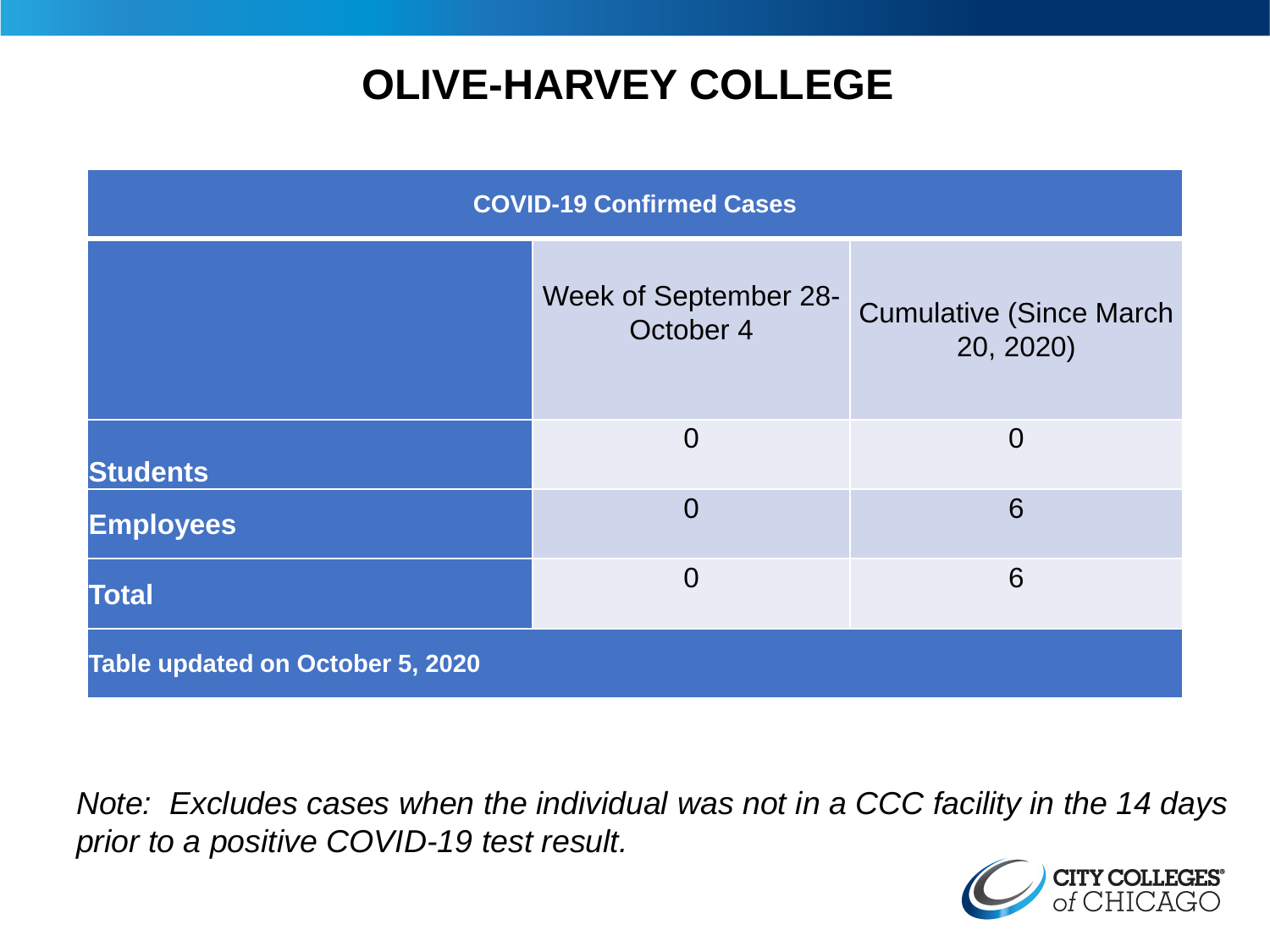## **OLIVE-HARVEY COLLEGE**

| <b>COVID-19 Confirmed Cases</b>  |                                    |                                              |
|----------------------------------|------------------------------------|----------------------------------------------|
|                                  | Week of September 28-<br>October 4 | <b>Cumulative (Since March)</b><br>20, 2020) |
| <b>Students</b>                  | $\overline{0}$                     | $\overline{0}$                               |
| <b>Employees</b>                 | $\overline{0}$                     | 6                                            |
| <b>Total</b>                     | $\overline{0}$                     | 6                                            |
| Table updated on October 5, 2020 |                                    |                                              |

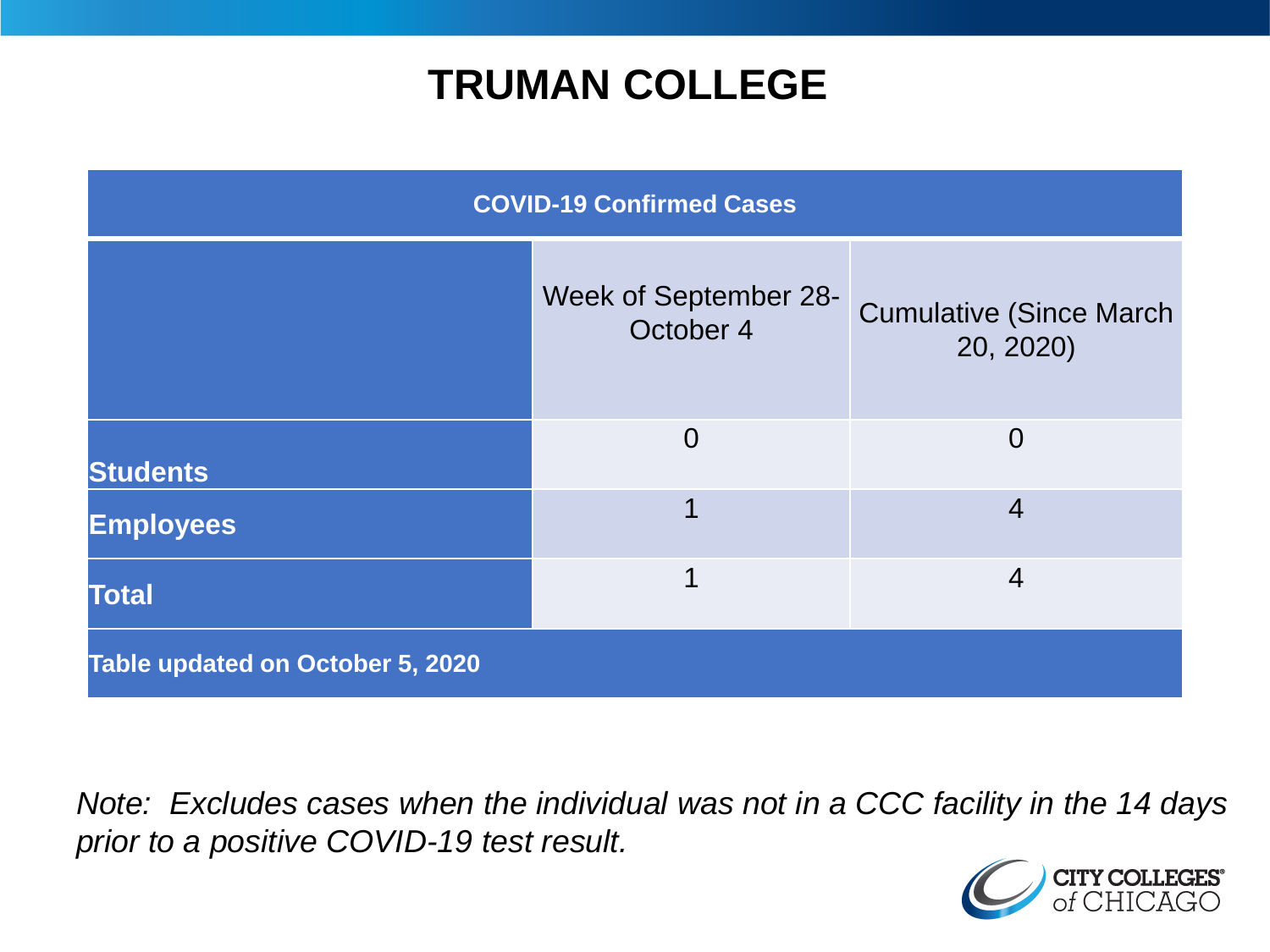### **TRUMAN COLLEGE**

| <b>COVID-19 Confirmed Cases</b>  |                                    |                                              |
|----------------------------------|------------------------------------|----------------------------------------------|
|                                  | Week of September 28-<br>October 4 | <b>Cumulative (Since March)</b><br>20, 2020) |
| <b>Students</b>                  | $\overline{0}$                     | $\overline{0}$                               |
| <b>Employees</b>                 |                                    | $\overline{4}$                               |
| <b>Total</b>                     | 1                                  | $\overline{4}$                               |
| Table updated on October 5, 2020 |                                    |                                              |